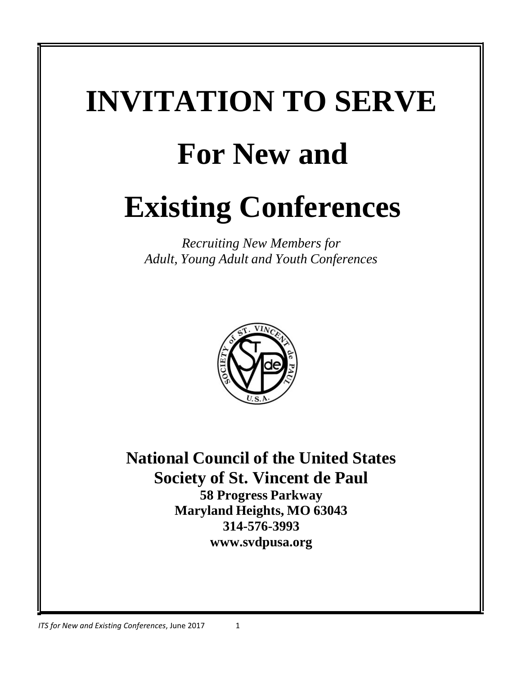# **INVITATION TO SERVE For New and Existing Conferences**

*Recruiting New Members for Adult, Young Adult and Youth Conferences*



**National Council of the United States Society of St. Vincent de Paul 58 Progress Parkway Maryland Heights, MO 63043 314-576-3993 [www.svdpusa.org](http://www.svdpusa.org/)**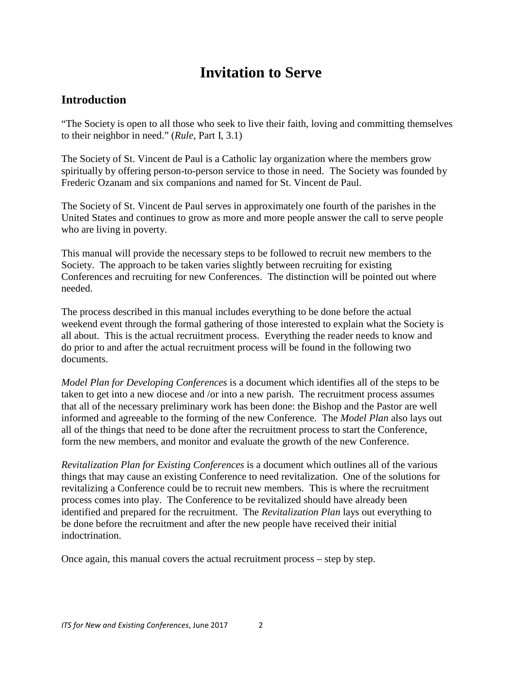# **Invitation to Serve**

## **Introduction**

"The Society is open to all those who seek to live their faith, loving and committing themselves to their neighbor in need." (*Rule*, Part I, 3.1)

The Society of St. Vincent de Paul is a Catholic lay organization where the members grow spiritually by offering person-to-person service to those in need. The Society was founded by Frederic Ozanam and six companions and named for St. Vincent de Paul.

The Society of St. Vincent de Paul serves in approximately one fourth of the parishes in the United States and continues to grow as more and more people answer the call to serve people who are living in poverty.

This manual will provide the necessary steps to be followed to recruit new members to the Society. The approach to be taken varies slightly between recruiting for existing Conferences and recruiting for new Conferences. The distinction will be pointed out where needed.

The process described in this manual includes everything to be done before the actual weekend event through the formal gathering of those interested to explain what the Society is all about. This is the actual recruitment process. Everything the reader needs to know and do prior to and after the actual recruitment process will be found in the following two documents.

*Model Plan for Developing Conferences* is a document which identifies all of the steps to be taken to get into a new diocese and /or into a new parish. The recruitment process assumes that all of the necessary preliminary work has been done: the Bishop and the Pastor are well informed and agreeable to the forming of the new Conference. The *Model Plan* also lays out all of the things that need to be done after the recruitment process to start the Conference, form the new members, and monitor and evaluate the growth of the new Conference.

*Revitalization Plan for Existing Conferences* is a document which outlines all of the various things that may cause an existing Conference to need revitalization. One of the solutions for revitalizing a Conference could be to recruit new members. This is where the recruitment process comes into play. The Conference to be revitalized should have already been identified and prepared for the recruitment. The *Revitalization Plan* lays out everything to be done before the recruitment and after the new people have received their initial indoctrination.

Once again, this manual covers the actual recruitment process – step by step.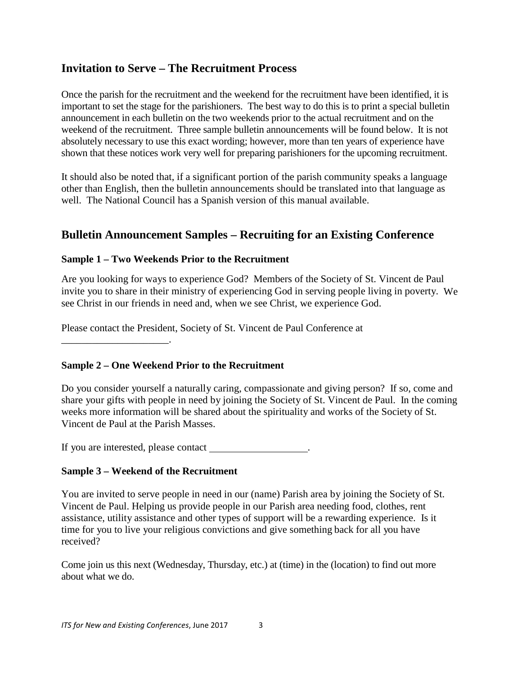## **Invitation to Serve – The Recruitment Process**

Once the parish for the recruitment and the weekend for the recruitment have been identified, it is important to set the stage for the parishioners. The best way to do this is to print a special bulletin announcement in each bulletin on the two weekends prior to the actual recruitment and on the weekend of the recruitment. Three sample bulletin announcements will be found below. It is not absolutely necessary to use this exact wording; however, more than ten years of experience have shown that these notices work very well for preparing parishioners for the upcoming recruitment.

It should also be noted that, if a significant portion of the parish community speaks a language other than English, then the bulletin announcements should be translated into that language as well. The National Council has a Spanish version of this manual available.

## **Bulletin Announcement Samples – Recruiting for an Existing Conference**

#### **Sample 1 – Two Weekends Prior to the Recruitment**

Are you looking for ways to experience God? Members of the Society of St. Vincent de Paul invite you to share in their ministry of experiencing God in serving people living in poverty. We see Christ in our friends in need and, when we see Christ, we experience God.

Please contact the President, Society of St. Vincent de Paul Conference at

\_\_\_\_\_\_\_\_\_\_\_\_\_\_\_\_\_\_\_\_\_.

## **Sample 2 – One Weekend Prior to the Recruitment**

Do you consider yourself a naturally caring, compassionate and giving person? If so, come and share your gifts with people in need by joining the Society of St. Vincent de Paul. In the coming weeks more information will be shared about the spirituality and works of the Society of St. Vincent de Paul at the Parish Masses.

If you are interested, please contact .

## **Sample 3 – Weekend of the Recruitment**

You are invited to serve people in need in our (name) Parish area by joining the Society of St. Vincent de Paul. Helping us provide people in our Parish area needing food, clothes, rent assistance, utility assistance and other types of support will be a rewarding experience. Is it time for you to live your religious convictions and give something back for all you have received?

Come join us this next (Wednesday, Thursday, etc.) at (time) in the (location) to find out more about what we do.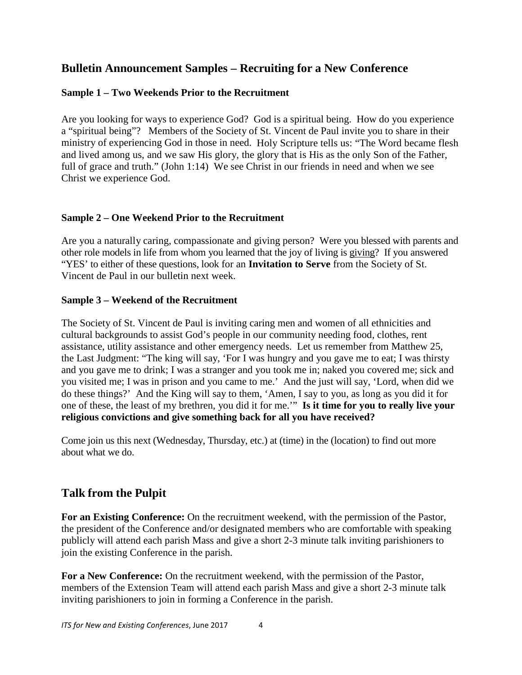## **Bulletin Announcement Samples – Recruiting for a New Conference**

#### **Sample 1 – Two Weekends Prior to the Recruitment**

Are you looking for ways to experience God? God is a spiritual being. How do you experience a "spiritual being"? Members of the Society of St. Vincent de Paul invite you to share in their ministry of experiencing God in those in need. Holy Scripture tells us: "The Word became flesh and lived among us, and we saw His glory, the glory that is His as the only Son of the Father, full of grace and truth." (John 1:14) We see Christ in our friends in need and when we see Christ we experience God.

#### **Sample 2 – One Weekend Prior to the Recruitment**

Are you a naturally caring, compassionate and giving person? Were you blessed with parents and other role models in life from whom you learned that the joy of living is giving? If you answered "YES' to either of these questions, look for an **Invitation to Serve** from the Society of St. Vincent de Paul in our bulletin next week.

#### **Sample 3 – Weekend of the Recruitment**

The Society of St. Vincent de Paul is inviting caring men and women of all ethnicities and cultural backgrounds to assist God's people in our community needing food, clothes, rent assistance, utility assistance and other emergency needs. Let us remember from Matthew 25, the Last Judgment: "The king will say, 'For I was hungry and you gave me to eat; I was thirsty and you gave me to drink; I was a stranger and you took me in; naked you covered me; sick and you visited me; I was in prison and you came to me.' And the just will say, 'Lord, when did we do these things?' And the King will say to them, 'Amen, I say to you, as long as you did it for one of these, the least of my brethren, you did it for me.'" **Is it time for you to really live your religious convictions and give something back for all you have received?**

Come join us this next (Wednesday, Thursday, etc.) at (time) in the (location) to find out more about what we do.

## **Talk from the Pulpit**

**For an Existing Conference:** On the recruitment weekend, with the permission of the Pastor, the president of the Conference and/or designated members who are comfortable with speaking publicly will attend each parish Mass and give a short 2-3 minute talk inviting parishioners to join the existing Conference in the parish.

**For a New Conference:** On the recruitment weekend, with the permission of the Pastor, members of the Extension Team will attend each parish Mass and give a short 2-3 minute talk inviting parishioners to join in forming a Conference in the parish.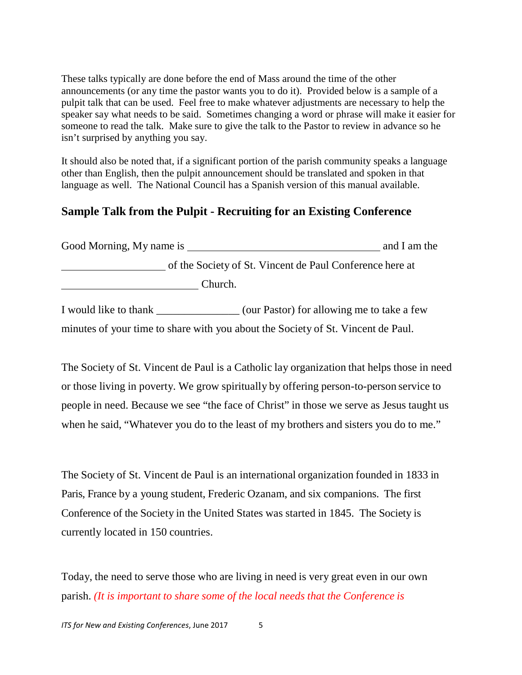These talks typically are done before the end of Mass around the time of the other announcements (or any time the pastor wants you to do it). Provided below is a sample of a pulpit talk that can be used. Feel free to make whatever adjustments are necessary to help the speaker say what needs to be said. Sometimes changing a word or phrase will make it easier for someone to read the talk. Make sure to give the talk to the Pastor to review in advance so he isn't surprised by anything you say.

It should also be noted that, if a significant portion of the parish community speaks a language other than English, then the pulpit announcement should be translated and spoken in that language as well. The National Council has a Spanish version of this manual available.

## **Sample Talk from the Pulpit - Recruiting for an Existing Conference**

| Good Morning, My name is                                 | and I am the |
|----------------------------------------------------------|--------------|
| of the Society of St. Vincent de Paul Conference here at |              |
| Church.                                                  |              |

I would like to thank \_\_\_\_\_\_\_\_\_\_\_\_\_\_\_ (our Pastor) for allowing me to take a few minutes of your time to share with you about the Society of St. Vincent de Paul.

The Society of St. Vincent de Paul is a Catholic lay organization that helps those in need or those living in poverty. We grow spiritually by offering person-to-person service to people in need. Because we see "the face of Christ" in those we serve as Jesus taught us when he said, "Whatever you do to the least of my brothers and sisters you do to me."

The Society of St. Vincent de Paul is an international organization founded in 1833 in Paris, France by a young student, Frederic Ozanam, and six companions. The first Conference of the Society in the United States was started in 1845. The Society is currently located in 150 countries.

Today, the need to serve those who are living in need is very great even in our own parish. *(It is important to share some of the local needs that the Conference is*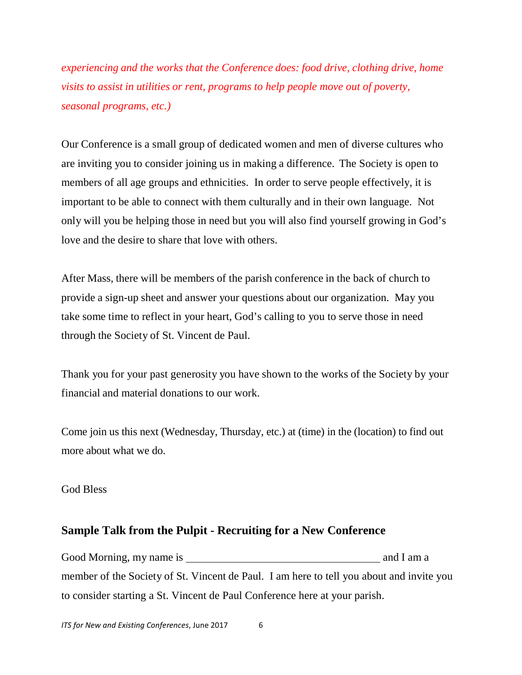*experiencing and the works that the Conference does: food drive, clothing drive, home visits to assist in utilities or rent, programs to help people move out of poverty, seasonal programs, etc.)*

Our Conference is a small group of dedicated women and men of diverse cultures who are inviting you to consider joining us in making a difference. The Society is open to members of all age groups and ethnicities. In order to serve people effectively, it is important to be able to connect with them culturally and in their own language. Not only will you be helping those in need but you will also find yourself growing in God's love and the desire to share that love with others.

After Mass, there will be members of the parish conference in the back of church to provide a sign-up sheet and answer your questions about our organization. May you take some time to reflect in your heart, God's calling to you to serve those in need through the Society of St. Vincent de Paul.

Thank you for your past generosity you have shown to the works of the Society by your financial and material donations to our work.

Come join us this next (Wednesday, Thursday, etc.) at (time) in the (location) to find out more about what we do.

#### God Bless

## **Sample Talk from the Pulpit - Recruiting for a New Conference**

Good Morning, my name is and I am a member of the Society of St. Vincent de Paul. I am here to tell you about and invite you to consider starting a St. Vincent de Paul Conference here at your parish.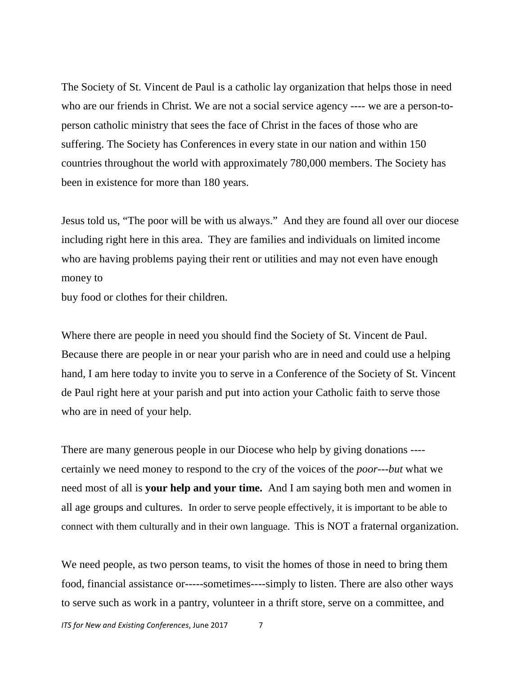The Society of St. Vincent de Paul is a catholic lay organization that helps those in need who are our friends in Christ. We are not a social service agency ---- we are a person-toperson catholic ministry that sees the face of Christ in the faces of those who are suffering. The Society has Conferences in every state in our nation and within 150 countries throughout the world with approximately 780,000 members. The Society has been in existence for more than 180 years.

Jesus told us, "The poor will be with us always." And they are found all over our diocese including right here in this area. They are families and individuals on limited income who are having problems paying their rent or utilities and may not even have enough money to

buy food or clothes for their children.

Where there are people in need you should find the Society of St. Vincent de Paul. Because there are people in or near your parish who are in need and could use a helping hand, I am here today to invite you to serve in a Conference of the Society of St. Vincent de Paul right here at your parish and put into action your Catholic faith to serve those who are in need of your help.

There are many generous people in our Diocese who help by giving donations --- certainly we need money to respond to the cry of the voices of the *poor---but* what we need most of all is **your help and your time.** And I am saying both men and women in all age groups and cultures. In order to serve people effectively, it is important to be able to connect with them culturally and in their own language. This is NOT a fraternal organization.

We need people, as two person teams, to visit the homes of those in need to bring them food, financial assistance or-----sometimes----simply to listen. There are also other ways to serve such as work in a pantry, volunteer in a thrift store, serve on a committee, and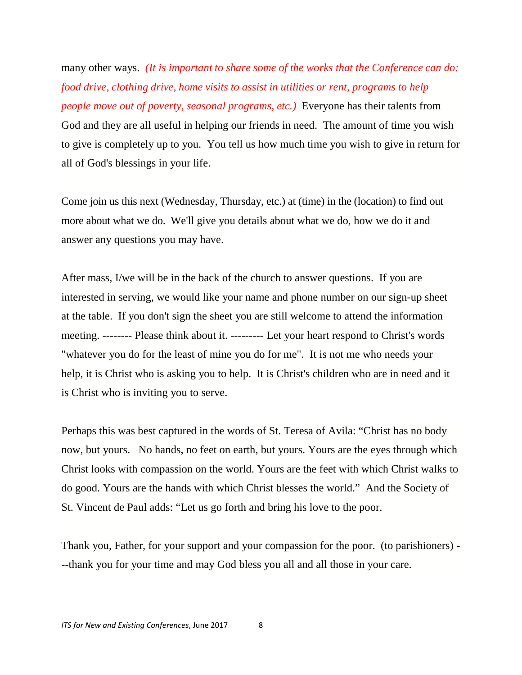many other ways. *(It is important to share some of the works that the Conference can do: food drive, clothing drive, home visits to assist in utilities or rent, programs to help people move out of poverty, seasonal programs, etc.)* Everyone has their talents from God and they are all useful in helping our friends in need. The amount of time you wish to give is completely up to you. You tell us how much time you wish to give in return for all of God's blessings in your life.

Come join us this next (Wednesday, Thursday, etc.) at (time) in the (location) to find out more about what we do. We'll give you details about what we do, how we do it and answer any questions you may have.

After mass, I/we will be in the back of the church to answer questions. If you are interested in serving, we would like your name and phone number on our sign-up sheet at the table. If you don't sign the sheet you are still welcome to attend the information meeting. -------- Please think about it. --------- Let your heart respond to Christ's words "whatever you do for the least of mine you do for me". It is not me who needs your help, it is Christ who is asking you to help. It is Christ's children who are in need and it is Christ who is inviting you to serve.

Perhaps this was best captured in the words of St. Teresa of Avila: "Christ has no body now, but yours. No hands, no feet on earth, but yours. Yours are the eyes through which Christ looks with compassion on the world. Yours are the feet with which Christ walks to do good. Yours are the hands with which Christ blesses the world." And the Society of St. Vincent de Paul adds: "Let us go forth and bring his love to the poor.

Thank you, Father, for your support and your compassion for the poor. (to parishioners) - --thank you for your time and may God bless you all and all those in your care.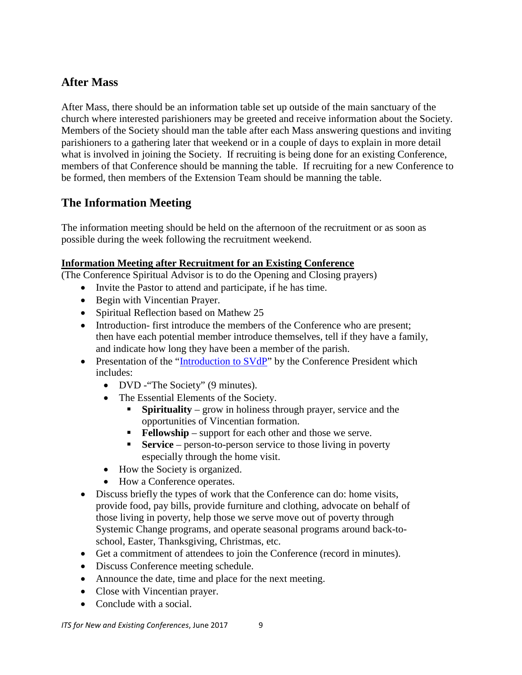## **After Mass**

After Mass, there should be an information table set up outside of the main sanctuary of the church where interested parishioners may be greeted and receive information about the Society. Members of the Society should man the table after each Mass answering questions and inviting parishioners to a gathering later that weekend or in a couple of days to explain in more detail what is involved in joining the Society. If recruiting is being done for an existing Conference, members of that Conference should be manning the table. If recruiting for a new Conference to be formed, then members of the Extension Team should be manning the table.

## **The Information Meeting**

The information meeting should be held on the afternoon of the recruitment or as soon as possible during the week following the recruitment weekend.

#### **Information Meeting after Recruitment for an Existing Conference**

(The Conference Spiritual Advisor is to do the Opening and Closing prayers)

- Invite the Pastor to attend and participate, if he has time.
- Begin with Vincentian Prayer.
- Spiritual Reflection based on Mathew 25
- Introduction- first introduce the members of the Conference who are present; then have each potential member introduce themselves, tell if they have a family, and indicate how long they have been a member of the parish.
- Presentation of the ["Introduction to SVdP"](https://svdpusa.sharefile.com/d-s917d371f56449828) by the Conference President which includes:
	- DVD The Society" (9 minutes).
	- The Essential Elements of the Society.
		- **Spirituality** grow in holiness through prayer, service and the opportunities of Vincentian formation.
		- **Fellowship** support for each other and those we serve.
		- **Service** person-to-person service to those living in poverty especially through the home visit.
	- How the Society is organized.
	- How a Conference operates.
- Discuss briefly the types of work that the Conference can do: home visits, provide food, pay bills, provide furniture and clothing, advocate on behalf of those living in poverty, help those we serve move out of poverty through Systemic Change programs, and operate seasonal programs around back-toschool, Easter, Thanksgiving, Christmas, etc.
- Get a commitment of attendees to join the Conference (record in minutes).
- Discuss Conference meeting schedule.
- Announce the date, time and place for the next meeting.
- Close with Vincentian prayer.
- Conclude with a social.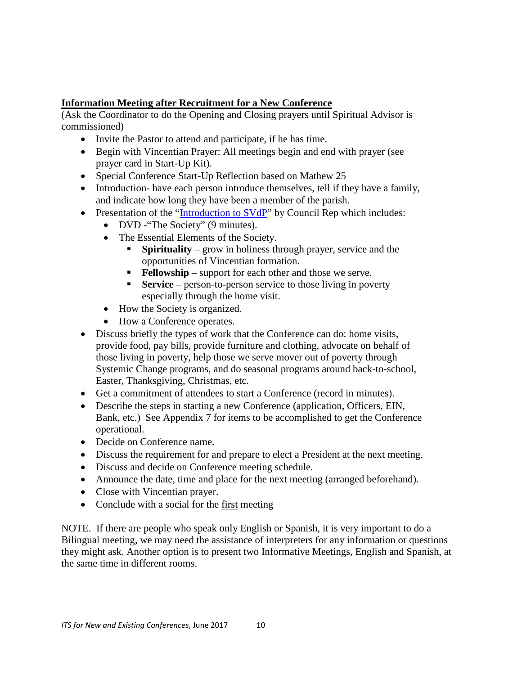#### **Information Meeting after Recruitment for a New Conference**

(Ask the Coordinator to do the Opening and Closing prayers until Spiritual Advisor is commissioned)

- Invite the Pastor to attend and participate, if he has time.
- Begin with Vincentian Prayer: All meetings begin and end with prayer (see prayer card in Start-Up Kit).
- Special Conference Start-Up Reflection based on Mathew 25
- Introduction- have each person introduce themselves, tell if they have a family, and indicate how long they have been a member of the parish.
- Presentation of the ["Introduction to SVdP"](https://svdpusa.sharefile.com/d-s917d371f56449828) by Council Rep which includes:
	- DVD "The Society" (9 minutes).
	- The Essential Elements of the Society.
		- **Spirituality** grow in holiness through prayer, service and the opportunities of Vincentian formation.
		- **Fellowship** support for each other and those we serve.
		- **Service** person-to-person service to those living in poverty especially through the home visit.
	- How the Society is organized.
	- How a Conference operates.
- Discuss briefly the types of work that the Conference can do: home visits, provide food, pay bills, provide furniture and clothing, advocate on behalf of those living in poverty, help those we serve mover out of poverty through Systemic Change programs, and do seasonal programs around back-to-school, Easter, Thanksgiving, Christmas, etc.
- Get a commitment of attendees to start a Conference (record in minutes).
- Describe the steps in starting a new Conference (application, Officers, EIN, Bank, etc.) See Appendix 7 for items to be accomplished to get the Conference operational.
- Decide on Conference name.
- Discuss the requirement for and prepare to elect a President at the next meeting.
- Discuss and decide on Conference meeting schedule.
- Announce the date, time and place for the next meeting (arranged beforehand).
- Close with Vincentian prayer.
- Conclude with a social for the first meeting

NOTE. If there are people who speak only English or Spanish, it is very important to do a Bilingual meeting, we may need the assistance of interpreters for any information or questions they might ask. Another option is to present two Informative Meetings, English and Spanish, at the same time in different rooms.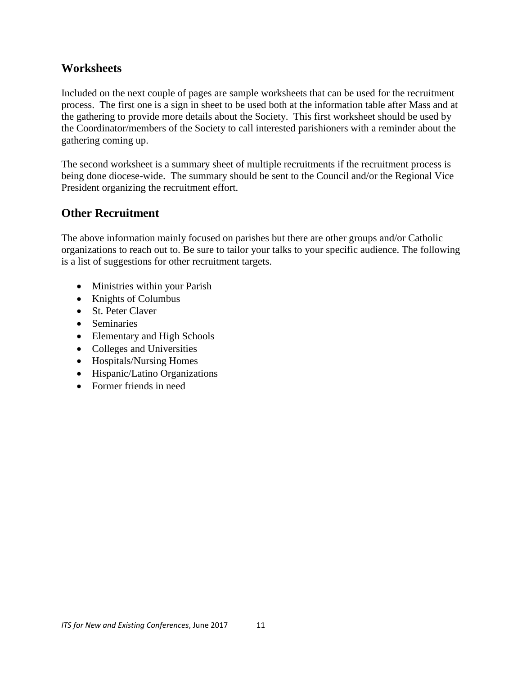## **Worksheets**

Included on the next couple of pages are sample worksheets that can be used for the recruitment process. The first one is a sign in sheet to be used both at the information table after Mass and at the gathering to provide more details about the Society. This first worksheet should be used by the Coordinator/members of the Society to call interested parishioners with a reminder about the gathering coming up.

The second worksheet is a summary sheet of multiple recruitments if the recruitment process is being done diocese-wide. The summary should be sent to the Council and/or the Regional Vice President organizing the recruitment effort.

## **Other Recruitment**

The above information mainly focused on parishes but there are other groups and/or Catholic organizations to reach out to. Be sure to tailor your talks to your specific audience. The following is a list of suggestions for other recruitment targets.

- Ministries within your Parish
- Knights of Columbus
- St. Peter Claver
- Seminaries
- Elementary and High Schools
- Colleges and Universities
- Hospitals/Nursing Homes
- Hispanic/Latino Organizations
- Former friends in need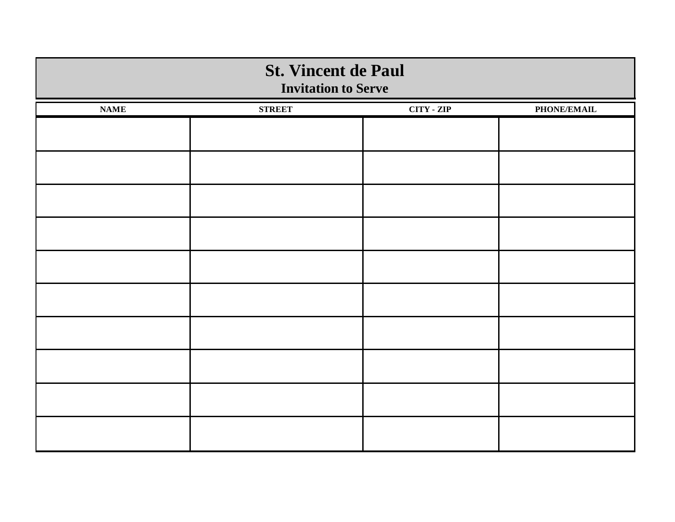| <b>St. Vincent de Paul</b><br><b>Invitation to Serve</b> |               |                   |             |  |  |  |  |
|----------------------------------------------------------|---------------|-------------------|-------------|--|--|--|--|
| <b>NAME</b>                                              | <b>STREET</b> | <b>CITY - ZIP</b> | PHONE/EMAIL |  |  |  |  |
|                                                          |               |                   |             |  |  |  |  |
|                                                          |               |                   |             |  |  |  |  |
|                                                          |               |                   |             |  |  |  |  |
|                                                          |               |                   |             |  |  |  |  |
|                                                          |               |                   |             |  |  |  |  |
|                                                          |               |                   |             |  |  |  |  |
|                                                          |               |                   |             |  |  |  |  |
|                                                          |               |                   |             |  |  |  |  |
|                                                          |               |                   |             |  |  |  |  |
|                                                          |               |                   |             |  |  |  |  |